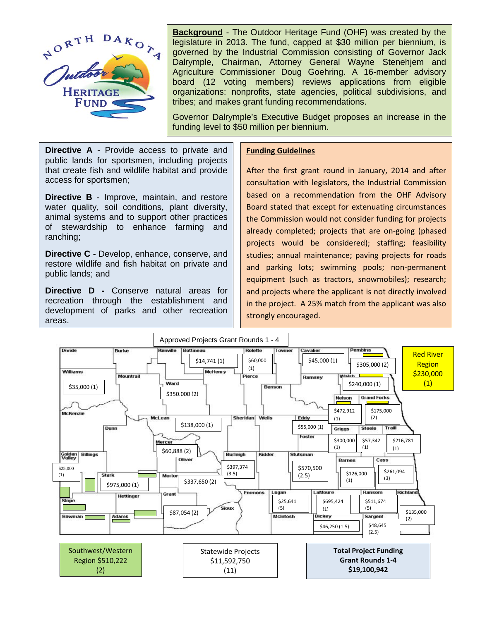

**Background** - The Outdoor Heritage Fund (OHF) was created by the legislature in 2013. The fund, capped at \$30 million per biennium, is governed by the Industrial Commission consisting of Governor Jack Dalrymple, Chairman, Attorney General Wayne Stenehjem and Agriculture Commissioner Doug Goehring. A 16-member advisory board (12 voting members) reviews applications from eligible organizations: nonprofits, state agencies, political subdivisions, and tribes; and makes grant funding recommendations.

Governor Dalrymple's Executive Budget proposes an increase in the funding level to \$50 million per biennium.

**Directive A** - Provide access to private and public lands for sportsmen, including projects that create fish and wildlife habitat and provide access for sportsmen;

**Directive B** - Improve, maintain, and restore water quality, soil conditions, plant diversity, animal systems and to support other practices of stewardship to enhance farming and ranching;

**Directive C -** Develop, enhance, conserve, and restore wildlife and fish habitat on private and public lands; and

**Directive D -** Conserve natural areas for recreation through the establishment and development of parks and other recreation areas.

## **Funding Guidelines**

After the first grant round in January, 2014 and after consultation with legislators, the Industrial Commission based on a recommendation from the OHF Advisory Board stated that except for extenuating circumstances the Commission would not consider funding for projects already completed; projects that are on-going (phased projects would be considered); staffing; feasibility studies; annual maintenance; paving projects for roads and parking lots; swimming pools; non-permanent equipment (such as tractors, snowmobiles); research; and projects where the applicant is not directly involved in the project. A 25% match from the applicant was also strongly encouraged.